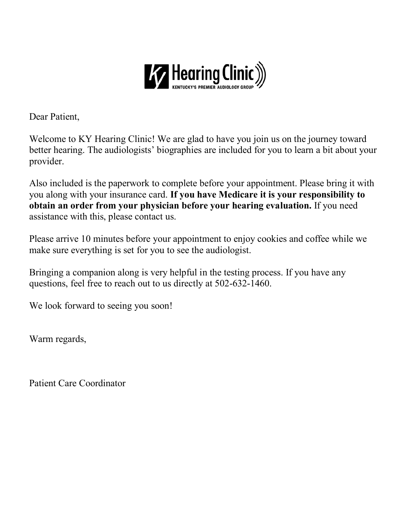

Dear Patient,

Welcome to KY Hearing Clinic! We are glad to have you join us on the journey toward better hearing. The audiologists' biographies are included for you to learn a bit about your provider.

Also included is the paperwork to complete before your appointment. Please bring it with you along with your insurance card. **If you have Medicare it is your responsibility to obtain an order from your physician before your hearing evaluation.** If you need assistance with this, please contact us.

Please arrive 10 minutes before your appointment to enjoy cookies and coffee while we make sure everything is set for you to see the audiologist.

Bringing a companion along is very helpful in the testing process. If you have any questions, feel free to reach out to us directly at 502-632-1460.

We look forward to seeing you soon!

Warm regards,

Patient Care Coordinator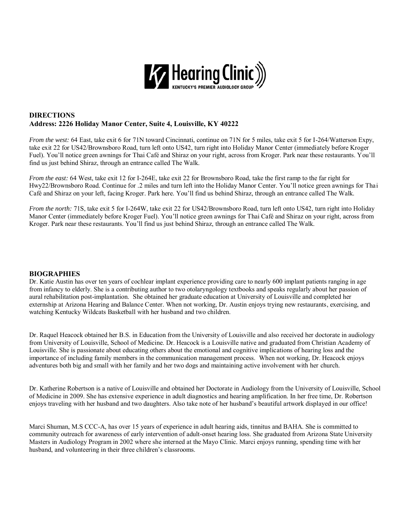

#### **DIRECTIONS Address: 2226 Holiday Manor Center, Suite 4, Louisville, KY 40222**

*From the west:* 64 East, take exit 6 for 71N toward Cincinnati, continue on 71N for 5 miles, take exit 5 for I-264/Watterson Expy, take exit 22 for US42/Brownsboro Road, turn left onto US42, turn right into Holiday Manor Center (immediately before Kroger Fuel). You'll notice green awnings for Thai Café and Shiraz on your right, across from Kroger. Park near these restaurants. You'll find us just behind Shiraz, through an entrance called The Walk.

*From the east:* 64 West, take exit 12 for I-264E, take exit 22 for Brownsboro Road, take the first ramp to the far right for Hwy22/Brownsboro Road. Continue for .2 miles and turn left into the Holiday Manor Center. You'll notice green awnings for Thai Café and Shiraz on your left, facing Kroger. Park here. You'll find us behind Shiraz, through an entrance called The Walk.

*From the north:* 71S, take exit 5 for I-264W, take exit 22 for US42/Brownsboro Road, turn left onto US42, turn right into Holiday Manor Center (immediately before Kroger Fuel). You'll notice green awnings for Thai Café and Shiraz on your right, across from Kroger. Park near these restaurants. You'll find us just behind Shiraz, through an entrance called The Walk.

#### **BIOGRAPHIES**

Dr. Katie Austin has over ten years of cochlear implant experience providing care to nearly 600 implant patients ranging in age from infancy to elderly. She is a contributing author to two otolaryngology textbooks and speaks regularly about her passion of aural rehabilitation post-implantation. She obtained her graduate education at University of Louisville and completed her externship at Arizona Hearing and Balance Center. When not working, Dr. Austin enjoys trying new restaurants, exercising, and watching Kentucky Wildcats Basketball with her husband and two children.

Dr. Raquel Heacock obtained her B.S. in Education from the University of Louisville and also received her doctorate in audiology from University of Louisville, School of Medicine. Dr. Heacock is a Louisville native and graduated from Christian Academy of Louisville. She is passionate about educating others about the emotional and cognitive implications of hearing loss and the importance of including family members in the communication management process. When not working, Dr. Heacock enjoys adventures both big and small with her family and her two dogs and maintaining active involvement with her church.

Dr. Katherine Robertson is a native of Louisville and obtained her Doctorate in Audiology from the University of Louisville, School of Medicine in 2009. She has extensive experience in adult diagnostics and hearing amplification. In her free time, Dr. Robertson enjoys traveling with her husband and two daughters. Also take note of her husband's beautiful artwork displayed in our office!

Marci Shuman, M.S CCC-A, has over 15 years of experience in adult hearing aids, tinnitus and BAHA. She is committed to community outreach for awareness of early intervention of adult-onset hearing loss. She graduated from Arizona State University Masters in Audiology Program in 2002 where she interned at the Mayo Clinic. Marci enjoys running, spending time with her husband, and volunteering in their three children's classrooms.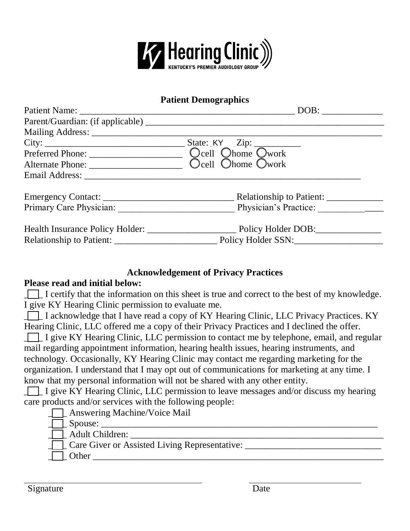

### **Patient Demographics**

|                                                                                                                                                                                                                                | DOB:                                          |
|--------------------------------------------------------------------------------------------------------------------------------------------------------------------------------------------------------------------------------|-----------------------------------------------|
|                                                                                                                                                                                                                                |                                               |
|                                                                                                                                                                                                                                |                                               |
|                                                                                                                                                                                                                                |                                               |
|                                                                                                                                                                                                                                |                                               |
|                                                                                                                                                                                                                                |                                               |
| Email Address: No. 1996. The Second Second Second Second Second Second Second Second Second Second Second Second Second Second Second Second Second Second Second Second Second Second Second Second Second Second Second Seco |                                               |
|                                                                                                                                                                                                                                |                                               |
|                                                                                                                                                                                                                                | Primary Care Physician: Physician's Practice: |
|                                                                                                                                                                                                                                |                                               |
|                                                                                                                                                                                                                                |                                               |

## **Acknowledgement of Privacy Practices**

## **Please read and initial below:**

\_\_\_\_ I certify that the information on this sheet is true and correct to the best of my knowledge. I give KY Hearing Clinic permission to evaluate me.

□ I acknowledge that I have read a copy of KY Hearing Clinic, LLC Privacy Practices. KY Hearing Clinic, LLC offered me a copy of their Privacy Practices and I declined the offer.

\_\_\_\_ I give KY Hearing Clinic, LLC permission to contact me by telephone, email, and regular mail regarding appointment information, hearing health issues, hearing instruments, and technology. Occasionally, KY Hearing Clinic may contact me regarding marketing for the organization. I understand that I may opt out of communications for marketing at any time. I know that my personal information will not be shared with any other entity.

\_\_\_\_ I give KY Hearing Clinic, LLC permission to leave messages and/or discuss my hearing care products and/or services with the following people:

|  | <b>Answering Machine/Voice Mail</b> |  |  |  |
|--|-------------------------------------|--|--|--|
|  |                                     |  |  |  |

\_\_\_\_ Spouse: \_\_\_\_\_\_\_\_\_\_\_\_\_\_\_\_\_\_\_\_\_\_\_\_\_\_\_\_\_\_\_\_\_\_\_\_\_\_\_\_\_\_\_\_\_\_\_\_\_\_\_\_\_\_\_\_\_\_\_

\_\_\_\_ Adult Children: \_\_\_\_\_\_\_\_\_\_\_\_\_\_\_\_\_\_\_\_\_\_\_\_\_\_\_\_\_\_\_\_\_\_\_\_\_\_\_\_\_\_\_\_\_\_\_\_\_\_\_\_\_\_

- \_\_\_\_ Care Giver or Assisted Living Representative: \_\_\_\_\_\_\_\_\_\_\_\_\_\_\_\_\_\_\_\_\_\_\_\_\_\_\_\_\_
- $\Box$  Other  $\Box$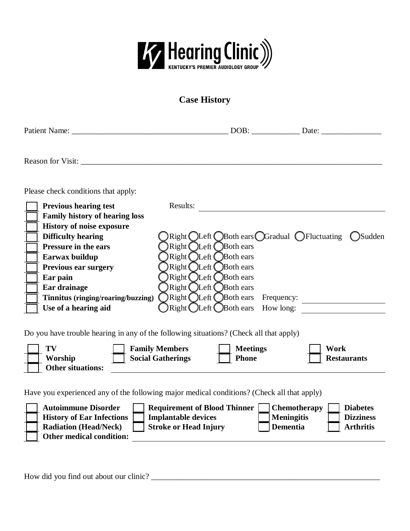

| Patient Name: Name:                                                                                                                                                                                                                                                                                                                                                                                                                                                                                                                                                                                                        |                                 | DOB: Date:                                                                                                                 |
|----------------------------------------------------------------------------------------------------------------------------------------------------------------------------------------------------------------------------------------------------------------------------------------------------------------------------------------------------------------------------------------------------------------------------------------------------------------------------------------------------------------------------------------------------------------------------------------------------------------------------|---------------------------------|----------------------------------------------------------------------------------------------------------------------------|
|                                                                                                                                                                                                                                                                                                                                                                                                                                                                                                                                                                                                                            |                                 |                                                                                                                            |
| Please check conditions that apply:                                                                                                                                                                                                                                                                                                                                                                                                                                                                                                                                                                                        |                                 |                                                                                                                            |
| <b>Previous hearing test</b><br>Results:<br><b>Family history of hearing loss</b><br><b>History of noise exposure</b><br><b>Difficulty hearing</b><br>$\text{Right }$ $\bigcirc$ Left $\bigcirc$ Both ears<br>Pressure in the ears<br>$Right$ Left $\bigcirc$ Both ears<br>Earwax buildup<br>$Right$ Left $\bigcirc$ Both ears<br><b>Previous ear surgery</b><br>$Right$ Left Both ears<br>Ear pain<br>Right <i>Left Both ears</i><br>Ear drainage<br>$\Re$ Right $\bigcirc$ Left $\bigcirc$ Both ears<br>Tinnitus (ringing/roaring/buzzing)<br>$\bigcap$ Right $\bigcap$ Left $\bigcap$ Both ears<br>Use of a hearing aid |                                 | $\text{Right}$ Left $\bigcirc$ Both ears $\bigcirc$ Gradual $\bigcirc$ Fluctuating<br>( )Sudden<br>Frequency:<br>How long: |
| Do you have trouble hearing in any of the following situations? (Check all that apply)<br><b>Family Members</b><br>TV<br><b>Social Gatherings</b><br>Worship<br><b>Other situations:</b>                                                                                                                                                                                                                                                                                                                                                                                                                                   | <b>Meetings</b><br><b>Phone</b> | Work<br><b>Restaurants</b>                                                                                                 |
| Have you experienced any of the following major medical conditions? (Check all that apply)<br><b>Autoimmune Disorder</b><br><b>Requirement of Blood Thinner</b><br><b>Implantable devices</b><br><b>History of Ear Infections</b><br><b>Radiation (Head/Neck)</b><br><b>Stroke or Head Injury</b><br>Other medical condition:                                                                                                                                                                                                                                                                                              |                                 | <b>Chemotherapy</b><br><b>Diabetes</b><br><b>Meningitis</b><br><b>Dizziness</b><br><b>Dementia</b><br><b>Arthritis</b>     |

How did you find out about our clinic? \_\_\_\_\_\_\_\_\_\_\_\_\_\_\_\_\_\_\_\_\_\_\_\_\_\_\_\_\_\_\_\_\_\_\_\_\_\_\_\_\_\_\_\_\_\_\_\_\_\_\_\_\_\_\_\_\_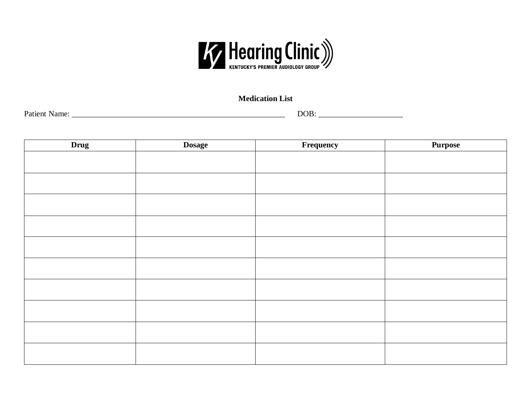

### **Medication List**

Patient Name: \_\_\_\_\_\_\_\_\_\_\_\_\_\_\_\_\_\_\_\_\_\_\_\_\_\_\_\_\_\_\_\_\_\_\_\_\_\_\_\_\_\_\_\_\_\_\_\_\_\_\_\_\_ DOB: \_\_\_\_\_\_\_\_\_\_\_\_\_\_\_\_\_\_\_\_\_

| <b>Drug</b> | <b>Dosage</b> | Frequency | <b>Purpose</b> |
|-------------|---------------|-----------|----------------|
|             |               |           |                |
|             |               |           |                |
|             |               |           |                |
|             |               |           |                |
|             |               |           |                |
|             |               |           |                |
|             |               |           |                |
|             |               |           |                |
|             |               |           |                |
|             |               |           |                |
|             |               |           |                |
|             |               |           |                |
|             |               |           |                |
|             |               |           |                |
|             |               |           |                |
|             |               |           |                |
|             |               |           |                |
|             |               |           |                |
|             |               |           |                |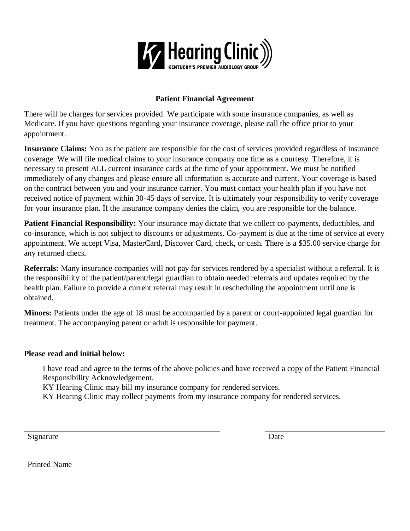

### **Patient Financial Agreement**

There will be charges for services provided. We participate with some insurance companies, as well as Medicare. If you have questions regarding your insurance coverage, please call the office prior to your appointment.

**Insurance Claims:** You as the patient are responsible for the cost of services provided regardless of insurance coverage. We will file medical claims to your insurance company one time as a courtesy. Therefore, it is necessary to present ALL current insurance cards at the time of your appointment. We must be notified immediately of any changes and please ensure all information is accurate and current. Your coverage is based on the contract between you and your insurance carrier. You must contact your health plan if you have not received notice of payment within 30-45 days of service. It is ultimately your responsibility to verify coverage for your insurance plan. If the insurance company denies the claim, you are responsible for the balance.

**Patient Financial Responsibility:** Your insurance may dictate that we collect co-payments, deductibles, and co-insurance, which is not subject to discounts or adjustments. Co-payment is due at the time of service at every appointment. We accept Visa, MasterCard, Discover Card, check, or cash. There is a \$35.00 service charge for any returned check.

**Referrals:** Many insurance companies will not pay for services rendered by a specialist without a referral. It is the responsibility of the patient/parent/legal guardian to obtain needed referrals and updates required by the health plan. Failure to provide a current referral may result in rescheduling the appointment until one is obtained.

**Minors:** Patients under the age of 18 must be accompanied by a parent or court-appointed legal guardian for treatment. The accompanying parent or adult is responsible for payment.

### **Please read and initial below:**

I have read and agree to the terms of the above policies and have received a copy of the Patient Financial Responsibility Acknowledgement.

KY Hearing Clinic may bill my insurance company for rendered services.

KY Hearing Clinic may collect payments from my insurance company for rendered services.

Signature Date

Printed Name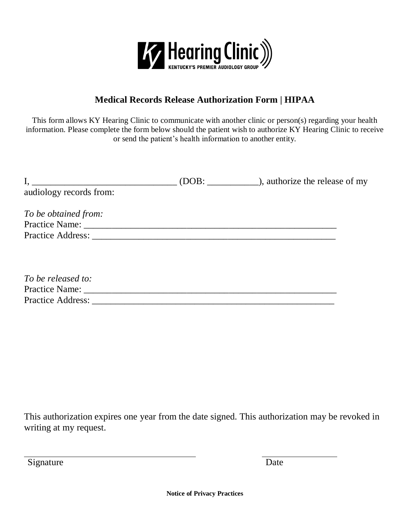

# **Medical Records Release Authorization Form | HIPAA**

This form allows KY Hearing Clinic to communicate with another clinic or person(s) regarding your health information. Please complete the form below should the patient wish to authorize KY Hearing Clinic to receive or send the patient's health information to another entity.

| audiology records from:  |  |
|--------------------------|--|
| To be obtained from:     |  |
|                          |  |
|                          |  |
|                          |  |
|                          |  |
|                          |  |
| To be released to:       |  |
|                          |  |
| <b>Practice Address:</b> |  |

This authorization expires one year from the date signed. This authorization may be revoked in writing at my request.

Signature Date